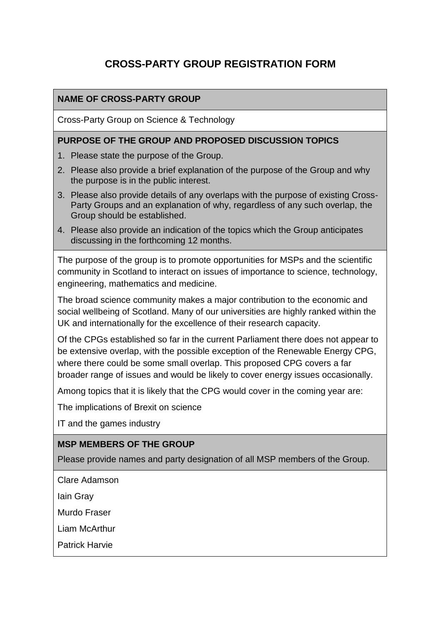# **CROSS-PARTY GROUP REGISTRATION FORM**

### **NAME OF CROSS-PARTY GROUP**

Cross-Party Group on Science & Technology

#### **PURPOSE OF THE GROUP AND PROPOSED DISCUSSION TOPICS**

- 1. Please state the purpose of the Group.
- 2. Please also provide a brief explanation of the purpose of the Group and why the purpose is in the public interest.
- 3. Please also provide details of any overlaps with the purpose of existing Cross-Party Groups and an explanation of why, regardless of any such overlap, the Group should be established.
- 4. Please also provide an indication of the topics which the Group anticipates discussing in the forthcoming 12 months.

The purpose of the group is to promote opportunities for MSPs and the scientific community in Scotland to interact on issues of importance to science, technology, engineering, mathematics and medicine.

The broad science community makes a major contribution to the economic and social wellbeing of Scotland. Many of our universities are highly ranked within the UK and internationally for the excellence of their research capacity.

Of the CPGs established so far in the current Parliament there does not appear to be extensive overlap, with the possible exception of the Renewable Energy CPG, where there could be some small overlap. This proposed CPG covers a far broader range of issues and would be likely to cover energy issues occasionally.

Among topics that it is likely that the CPG would cover in the coming year are:

The implications of Brexit on science

IT and the games industry

#### **MSP MEMBERS OF THE GROUP**

Please provide names and party designation of all MSP members of the Group.

Clare Adamson

Iain Gray

Murdo Fraser

Liam McArthur

Patrick Harvie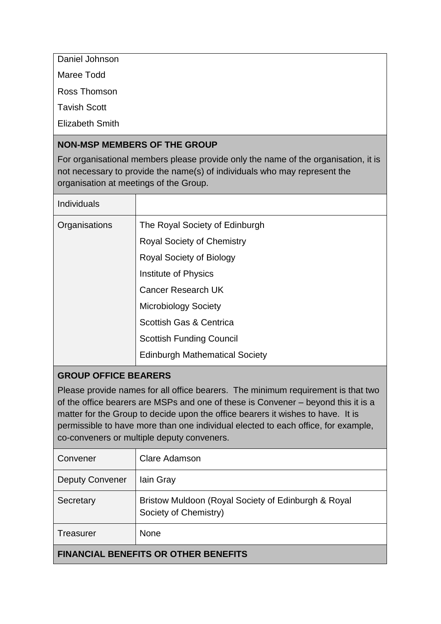Daniel Johnson

Maree Todd

Ross Thomson

Tavish Scott

Elizabeth Smith

#### **NON-MSP MEMBERS OF THE GROUP**

For organisational members please provide only the name of the organisation, it is not necessary to provide the name(s) of individuals who may represent the organisation at meetings of the Group.

| Individuals   |                                       |
|---------------|---------------------------------------|
| Organisations | The Royal Society of Edinburgh        |
|               | <b>Royal Society of Chemistry</b>     |
|               | <b>Royal Society of Biology</b>       |
|               | Institute of Physics                  |
|               | <b>Cancer Research UK</b>             |
|               | <b>Microbiology Society</b>           |
|               | Scottish Gas & Centrica               |
|               | <b>Scottish Funding Council</b>       |
|               | <b>Edinburgh Mathematical Society</b> |

# **GROUP OFFICE BEARERS**

Please provide names for all office bearers. The minimum requirement is that two of the office bearers are MSPs and one of these is Convener – beyond this it is a matter for the Group to decide upon the office bearers it wishes to have. It is permissible to have more than one individual elected to each office, for example, co-conveners or multiple deputy conveners.

| Convener                                    | Clare Adamson                                                                |  |
|---------------------------------------------|------------------------------------------------------------------------------|--|
| <b>Deputy Convener</b>                      | lain Gray                                                                    |  |
| Secretary                                   | Bristow Muldoon (Royal Society of Edinburgh & Royal<br>Society of Chemistry) |  |
| <b>Treasurer</b>                            | <b>None</b>                                                                  |  |
| <b>FINANCIAL BENEFITS OR OTHER BENEFITS</b> |                                                                              |  |